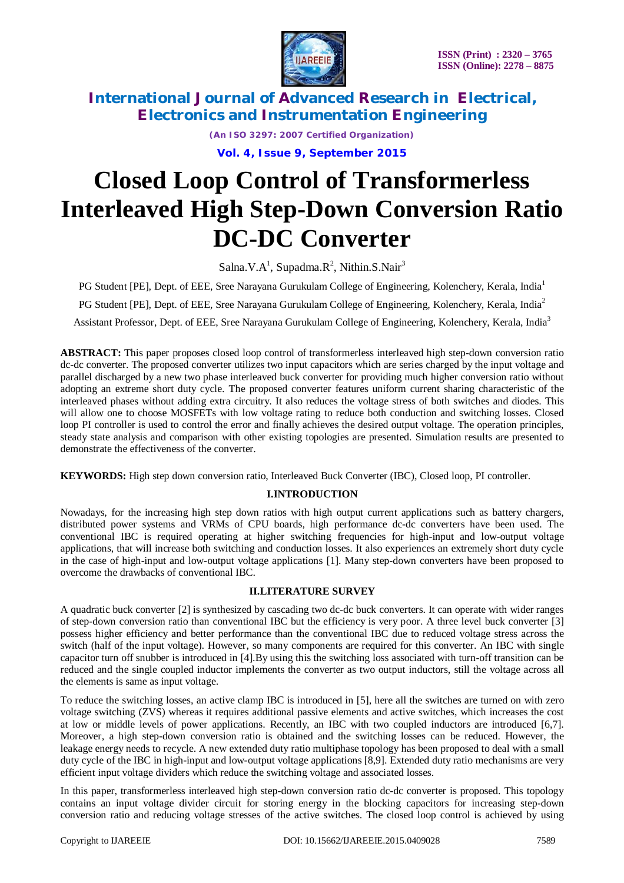

*(An ISO 3297: 2007 Certified Organization)*

**Vol. 4, Issue 9, September 2015**

# **Closed Loop Control of Transformerless Interleaved High Step-Down Conversion Ratio DC-DC Converter**

Salna.V.A<sup>1</sup>, Supadma.R<sup>2</sup>, Nithin.S.Nair<sup>3</sup>

PG Student [PE], Dept. of EEE, Sree Narayana Gurukulam College of Engineering, Kolenchery, Kerala, India<sup>1</sup>

PG Student [PE], Dept. of EEE, Sree Narayana Gurukulam College of Engineering, Kolenchery, Kerala, India<sup>2</sup>

Assistant Professor, Dept. of EEE, Sree Narayana Gurukulam College of Engineering, Kolenchery, Kerala, India<sup>3</sup>

**ABSTRACT:** This paper proposes closed loop control of transformerless interleaved high step-down conversion ratio dc-dc converter. The proposed converter utilizes two input capacitors which are series charged by the input voltage and parallel discharged by a new two phase interleaved buck converter for providing much higher conversion ratio without adopting an extreme short duty cycle. The proposed converter features uniform current sharing characteristic of the interleaved phases without adding extra circuitry. It also reduces the voltage stress of both switches and diodes. This will allow one to choose MOSFETs with low voltage rating to reduce both conduction and switching losses. Closed loop PI controller is used to control the error and finally achieves the desired output voltage. The operation principles, steady state analysis and comparison with other existing topologies are presented. Simulation results are presented to demonstrate the effectiveness of the converter.

**KEYWORDS:** High step down conversion ratio, Interleaved Buck Converter (IBC), Closed loop, PI controller.

### **I.INTRODUCTION**

Nowadays, for the increasing high step down ratios with high output current applications such as battery chargers, distributed power systems and VRMs of CPU boards, high performance dc-dc converters have been used. The conventional IBC is required operating at higher switching frequencies for high-input and low-output voltage applications, that will increase both switching and conduction losses. It also experiences an extremely short duty cycle in the case of high-input and low-output voltage applications [1]. Many step-down converters have been proposed to overcome the drawbacks of conventional IBC.

### **II.LITERATURE SURVEY**

A quadratic buck converter [2] is synthesized by cascading two dc-dc buck converters. It can operate with wider ranges of step-down conversion ratio than conventional IBC but the efficiency is very poor. A three level buck converter [3] possess higher efficiency and better performance than the conventional IBC due to reduced voltage stress across the switch (half of the input voltage). However, so many components are required for this converter. An IBC with single capacitor turn off snubber is introduced in [4].By using this the switching loss associated with turn-off transition can be reduced and the single coupled inductor implements the converter as two output inductors, still the voltage across all the elements is same as input voltage.

To reduce the switching losses, an active clamp IBC is introduced in [5], here all the switches are turned on with zero voltage switching (ZVS) whereas it requires additional passive elements and active switches, which increases the cost at low or middle levels of power applications. Recently, an IBC with two coupled inductors are introduced [6,7]. Moreover, a high step-down conversion ratio is obtained and the switching losses can be reduced. However, the leakage energy needs to recycle. A new extended duty ratio multiphase topology has been proposed to deal with a small duty cycle of the IBC in high-input and low-output voltage applications [8,9]. Extended duty ratio mechanisms are very efficient input voltage dividers which reduce the switching voltage and associated losses.

In this paper, transformerless interleaved high step-down conversion ratio dc-dc converter is proposed. This topology contains an input voltage divider circuit for storing energy in the blocking capacitors for increasing step-down conversion ratio and reducing voltage stresses of the active switches. The closed loop control is achieved by using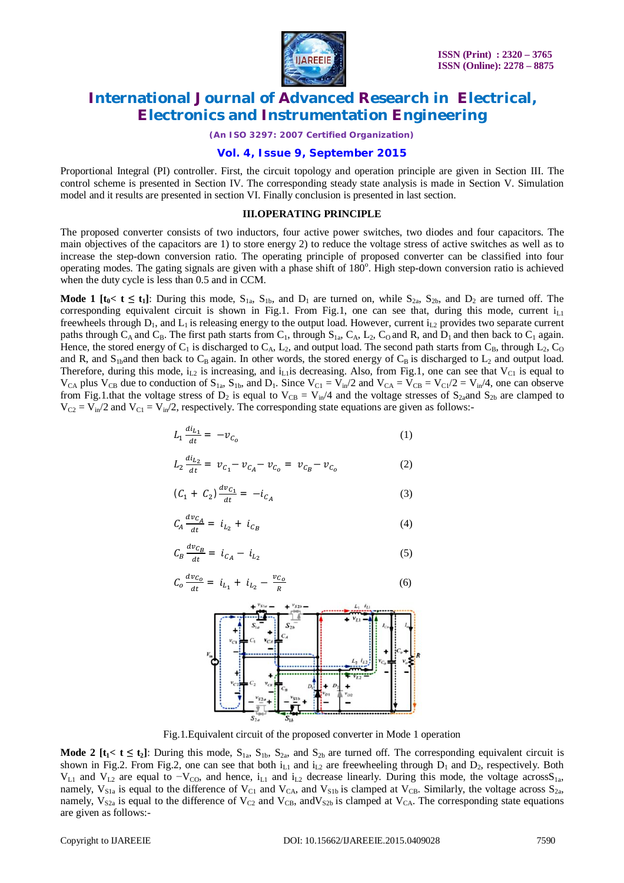

*(An ISO 3297: 2007 Certified Organization)*

### **Vol. 4, Issue 9, September 2015**

Proportional Integral (PI) controller. First, the circuit topology and operation principle are given in Section III. The control scheme is presented in Section IV. The corresponding steady state analysis is made in Section V. Simulation model and it results are presented in section VI. Finally conclusion is presented in last section.

#### **III.OPERATING PRINCIPLE**

The proposed converter consists of two inductors, four active power switches, two diodes and four capacitors. The main objectives of the capacitors are 1) to store energy 2) to reduce the voltage stress of active switches as well as to increase the step-down conversion ratio. The operating principle of proposed converter can be classified into four operating modes. The gating signals are given with a phase shift of  $180^\circ$ . High step-down conversion ratio is achieved when the duty cycle is less than 0.5 and in CCM.

**Mode 1** [ $t_0 < t \le t_1$ ]: During this mode,  $S_{1a}$ ,  $S_{1b}$ , and  $D_1$  are turned on, while  $S_{2a}$ ,  $S_{2b}$ , and  $D_2$  are turned off. The corresponding equivalent circuit is shown in Fig.1. From Fig.1, one can see that, during this mode, current  $i_{L1}$ freewheels through  $D_1$ , and  $L_1$  is releasing energy to the output load. However, current  $i_{12}$  provides two separate current paths through  $C_A$  and  $C_B$ . The first path starts from  $C_1$ , through  $S_{1a}$ ,  $C_A$ ,  $L_2$ ,  $C_O$  and R, and  $D_1$  and then back to  $C_1$  again. Hence, the stored energy of  $C_1$  is discharged to  $C_A$ ,  $L_2$ , and output load. The second path starts from  $C_B$ , through  $L_2$ ,  $C_O$ and R, and  $S_{1b}$ and then back to  $C_B$  again. In other words, the stored energy of  $C_B$  is discharged to  $L_2$  and output load. Therefore, during this mode,  $i_{L2}$  is increasing, and  $i_{L1}$ is decreasing. Also, from Fig.1, one can see that  $V_{C1}$  is equal to  $V_{CA}$  plus  $V_{CB}$  due to conduction of  $S_{1a}$ ,  $S_{1b}$ , and  $D_1$ . Since  $V_{C1} = V_{in}/2$  and  $V_{CA} = V_{CB} = V_{C1}/2 = V_{in}/4$ , one can observe from Fig.1.that the voltage stress of  $D_2$  is equal to  $V_{CB} = V_{in}/4$  and the voltage stresses of  $S_{2a}$  and  $S_{2b}$  are clamped to  $V_{C2} = V_{in}/2$  and  $V_{C1} = V_{in}/2$ , respectively. The corresponding state equations are given as follows:-

$$
L_1 \frac{di_{L_1}}{dt} = -v_{C_0} \tag{1}
$$

$$
L_2 \frac{di_{L_2}}{dt} = v_{C_1} - v_{C_A} - v_{C_0} = v_{C_B} - v_{C_0}
$$
 (2)

$$
(C_1 + C_2) \frac{dv_{C_1}}{dt} = -i_{C_A} \tag{3}
$$

$$
C_A \frac{dv_{C_A}}{dt} = i_{L_2} + i_{C_B} \tag{4}
$$

$$
C_B \frac{dv_{C_B}}{dt} = i_{C_A} - i_{L_2}
$$
\n<sup>(5)</sup>

$$
C_o \frac{dv_{C_o}}{dt} = i_{L_1} + i_{L_2} - \frac{v_{C_o}}{R}
$$
 (6)



Fig.1.Equivalent circuit of the proposed converter in Mode 1 operation

**Mode 2** [ $t_1 < t \le t_2$ ]: During this mode,  $S_{1a}$ ,  $S_{1b}$ ,  $S_{2a}$ , and  $S_{2b}$  are turned off. The corresponding equivalent circuit is shown in Fig.2. From Fig.2, one can see that both  $i_{L1}$  and  $i_{L2}$  are freewheeling through  $D_1$  and  $D_2$ , respectively. Both  $V_{L1}$  and  $V_{L2}$  are equal to  $-V_{CO}$ , and hence, i<sub>L1</sub> and i<sub>L2</sub> decrease linearly. During this mode, the voltage acrossS<sub>1a</sub>, namely,  $V_{S1a}$  is equal to the difference of  $V_{C1}$  and  $V_{C4}$ , and  $V_{S1b}$  is clamped at  $V_{CB}$ . Similarly, the voltage across  $S_{2a}$ , namely,  $V_{S2a}$  is equal to the difference of  $V_{C2}$  and  $V_{CB}$ , and  $V_{S2b}$  is clamped at  $V_{CA}$ . The corresponding state equations are given as follows:-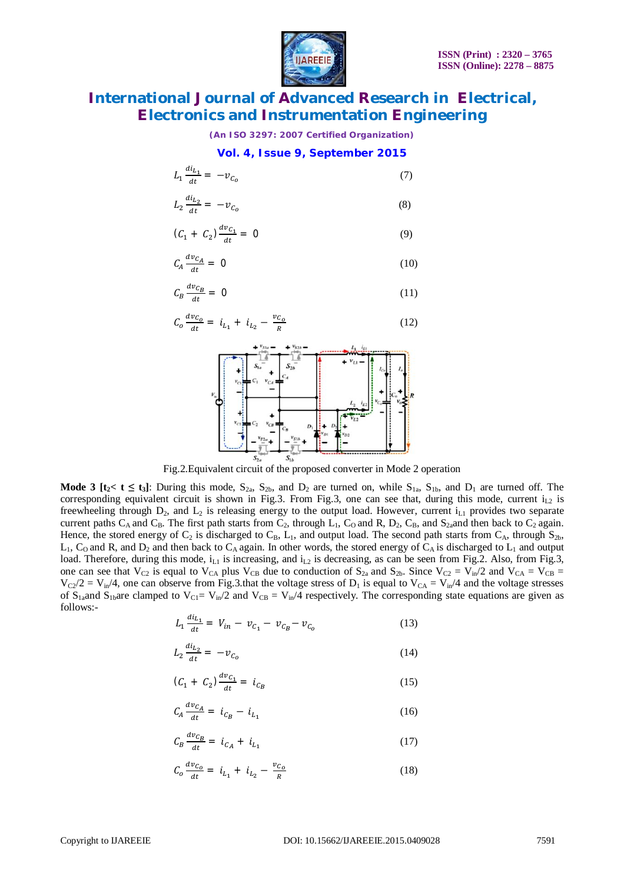

*(An ISO 3297: 2007 Certified Organization)*

#### **Vol. 4, Issue 9, September 2015**

$$
L_1 \frac{di_{L_1}}{dt} = -v_{C_0} \tag{7}
$$

$$
L_2 \frac{di_{L_2}}{dt} = -\nu_{C_0} \tag{8}
$$

$$
(C_1 + C_2) \frac{dv_{C_1}}{dt} = 0 \tag{9}
$$

$$
C_A \frac{dv_{C_A}}{dt} = 0 \tag{10}
$$

$$
\mathcal{C}_B \frac{d v_{\mathcal{C}_B}}{dt} = 0 \tag{11}
$$

$$
C_o \frac{dv_{C_o}}{dt} = i_{L_1} + i_{L_2} - \frac{v_{C_o}}{R}
$$
 (12)



Fig.2.Equivalent circuit of the proposed converter in Mode 2 operation

**Mode 3** [ $t_2$ <  $t \le t_3$ ]: During this mode,  $S_{2a}$ ,  $S_{2b}$ , and  $D_2$  are turned on, while  $S_{1a}$ ,  $S_{1b}$ , and  $D_1$  are turned off. The corresponding equivalent circuit is shown in Fig.3. From Fig.3, one can see that, during this mode, current  $i_{L2}$  is freewheeling through  $D_2$ , and  $L_2$  is releasing energy to the output load. However, current  $i_{L1}$  provides two separate current paths C<sub>A</sub> and C<sub>B</sub>. The first path starts from C<sub>2</sub>, through L<sub>1</sub>, C<sub>0</sub> and R, D<sub>2</sub>, C<sub>B</sub>, and S<sub>2a</sub>and then back to C<sub>2</sub> again. Hence, the stored energy of  $C_2$  is discharged to  $C_B$ ,  $L_1$ , and output load. The second path starts from  $C_A$ , through  $S_{2b}$ ,  $L_1$ ,  $C_0$  and R, and D<sub>2</sub> and then back to  $C_A$  again. In other words, the stored energy of  $C_A$  is discharged to  $L_1$  and output load. Therefore, during this mode,  $i_{L1}$  is increasing, and  $i_{L2}$  is decreasing, as can be seen from Fig.2. Also, from Fig.3, one can see that  $V_{C2}$  is equal to  $V_{CA}$  plus  $V_{CB}$  due to conduction of  $S_{2a}$  and  $S_{2b}$ . Since  $V_{C2} = V_{in}/2$  and  $V_{CA} = V_{CB}$  $V_{C2}/2 = V_{in}/4$ , one can observe from Fig.3.that the voltage stress of  $D_1$  is equal to  $V_{CA} = V_{in}/4$  and the voltage stresses of  $S_{1a}$ and  $S_{1b}$ are clamped to  $V_{C1} = V_{in}/2$  and  $V_{CB} = V_{in}/4$  respectively. The corresponding state equations are given as follows:-

$$
L_1 \frac{di_{L_1}}{dt} = V_{in} - v_{C_1} - v_{C_B} - v_{C_O}
$$
 (13)

$$
L_2 \frac{di_{L_2}}{dt} = -\nu_{C_0} \tag{14}
$$

$$
(C_1 + C_2) \frac{dv_{C_1}}{dt} = i_{C_B} \tag{15}
$$

$$
C_A \frac{dv_{C_A}}{dt} = i_{C_B} - i_{L_1}
$$
 (16)

$$
C_B \frac{dv_{C_B}}{dt} = i_{C_A} + i_{L_1}
$$
 (17)

$$
C_o \frac{dv_{C_o}}{dt} = i_{L_1} + i_{L_2} - \frac{v_{C_o}}{R}
$$
 (18)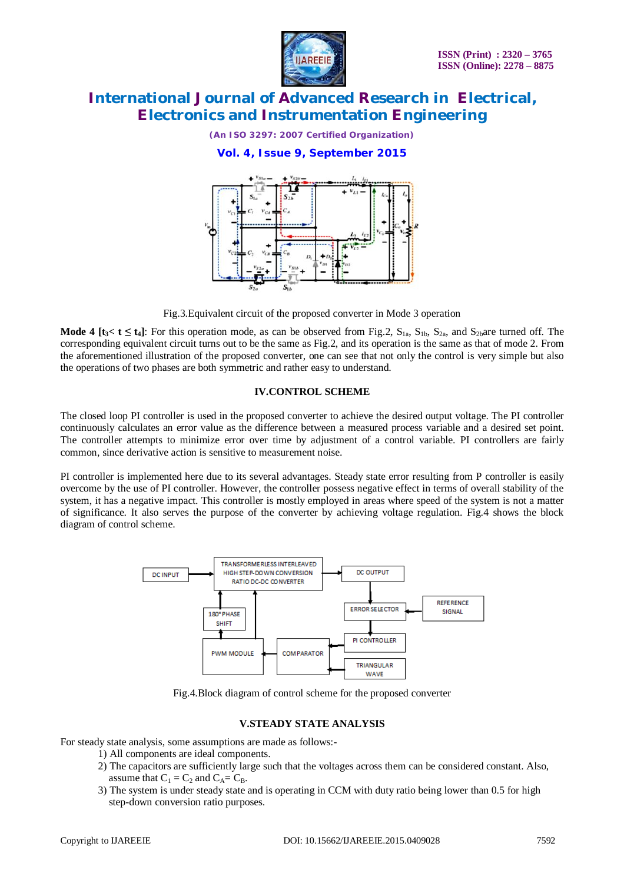

*(An ISO 3297: 2007 Certified Organization)*

**Vol. 4, Issue 9, September 2015**



Fig.3.Equivalent circuit of the proposed converter in Mode 3 operation

**Mode 4 [** $t_3 < t \le t_4$ **]:** For this operation mode, as can be observed from Fig.2,  $S_{1a}$ ,  $S_{1b}$ ,  $S_{2a}$ , and  $S_{2b}$ are turned off. The corresponding equivalent circuit turns out to be the same as Fig.2, and its operation is the same as that of mode 2. From the aforementioned illustration of the proposed converter, one can see that not only the control is very simple but also the operations of two phases are both symmetric and rather easy to understand.

#### **IV.CONTROL SCHEME**

The closed loop PI controller is used in the proposed converter to achieve the desired output voltage. The PI controller continuously calculates an error value as the difference between a measured process variable and a desired set point. The controller attempts to minimize error over time by adjustment of a control variable. PI controllers are fairly common, since derivative action is sensitive to measurement noise.

PI controller is implemented here due to its several advantages. Steady state error resulting from P controller is easily overcome by the use of PI controller. However, the controller possess negative effect in terms of overall stability of the system, it has a negative impact. This controller is mostly employed in areas where speed of the system is not a matter of significance. It also serves the purpose of the converter by achieving voltage regulation. Fig.4 shows the block diagram of control scheme.



Fig.4.Block diagram of control scheme for the proposed converter

#### **V.STEADY STATE ANALYSIS**

For steady state analysis, some assumptions are made as follows:-

- 1) All components are ideal components.
- 2) The capacitors are sufficiently large such that the voltages across them can be considered constant. Also, assume that  $C_1 = C_2$  and  $C_A = C_B$ .
- 3) The system is under steady state and is operating in CCM with duty ratio being lower than 0.5 for high step-down conversion ratio purposes.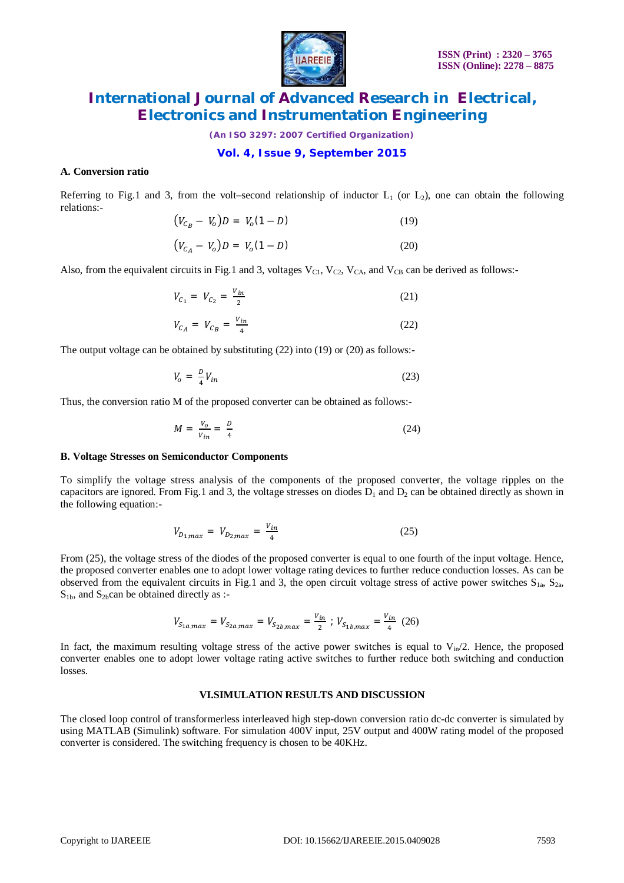

*(An ISO 3297: 2007 Certified Organization)*

#### **Vol. 4, Issue 9, September 2015**

#### **A. Conversion ratio**

Referring to Fig.1 and 3, from the volt–second relationship of inductor  $L_1$  (or  $L_2$ ), one can obtain the following relations:-

$$
(V_{C_B} - V_o)D = V_o(1 - D)
$$
\n(19)

$$
(V_{C_A} - V_o)D = V_o(1 - D)
$$
 (20)

Also, from the equivalent circuits in Fig.1 and 3, voltages  $V_{C1}$ ,  $V_{C2}$ ,  $V_{CA}$ , and  $V_{CB}$  can be derived as follows:-

$$
V_{C_1} = V_{C_2} = \frac{V_{in}}{2}
$$
 (21)

$$
V_{C_A} = V_{C_B} = \frac{V_{in}}{4}
$$
 (22)

The output voltage can be obtained by substituting (22) into (19) or (20) as follows:-

$$
V_o = \frac{D}{4} V_{in} \tag{23}
$$

Thus, the conversion ratio M of the proposed converter can be obtained as follows:-

$$
M = \frac{V_o}{V_{in}} = \frac{D}{4} \tag{24}
$$

#### **B. Voltage Stresses on Semiconductor Components**

To simplify the voltage stress analysis of the components of the proposed converter, the voltage ripples on the capacitors are ignored. From Fig.1 and 3, the voltage stresses on diodes  $D_1$  and  $D_2$  can be obtained directly as shown in the following equation:-

$$
V_{D_{1,max}} = V_{D_{2,max}} = \frac{V_{in}}{4}
$$
 (25)

From (25), the voltage stress of the diodes of the proposed converter is equal to one fourth of the input voltage. Hence, the proposed converter enables one to adopt lower voltage rating devices to further reduce conduction losses. As can be observed from the equivalent circuits in Fig.1 and 3, the open circuit voltage stress of active power switches  $S_{1a}$ ,  $S_{2a}$ ,  $S<sub>1b</sub>$ , and  $S<sub>2b</sub>$ can be obtained directly as :-

$$
V_{S_{1a,max}} = V_{S_{2a,max}} = V_{S_{2b,max}} = \frac{V_{in}}{2} \; ; \; V_{S_{1b,max}} = \frac{V_{in}}{4} \; (26)
$$

In fact, the maximum resulting voltage stress of the active power switches is equal to  $V_{in}/2$ . Hence, the proposed converter enables one to adopt lower voltage rating active switches to further reduce both switching and conduction losses.

#### **VI.SIMULATION RESULTS AND DISCUSSION**

The closed loop control of transformerless interleaved high step-down conversion ratio dc-dc converter is simulated by using MATLAB (Simulink) software. For simulation 400V input, 25V output and 400W rating model of the proposed converter is considered. The switching frequency is chosen to be 40KHz.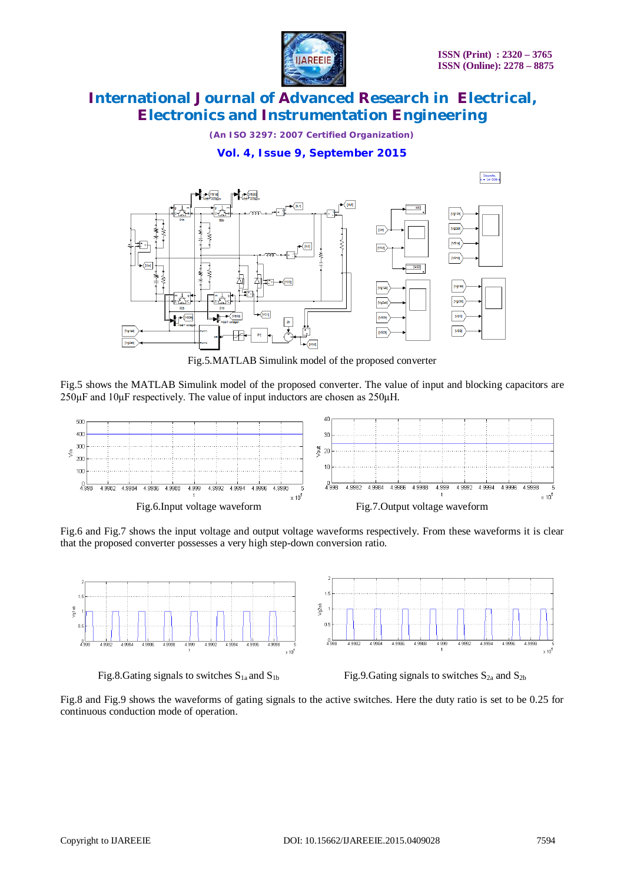

*(An ISO 3297: 2007 Certified Organization)*

### **Vol. 4, Issue 9, September 2015**



Fig.5.MATLAB Simulink model of the proposed converter

Fig.5 shows the MATLAB Simulink model of the proposed converter. The value of input and blocking capacitors are  $250\mu$ F and  $10\mu$ F respectively. The value of input inductors are chosen as  $250\mu$ H.



Fig.6 and Fig.7 shows the input voltage and output voltage waveforms respectively. From these waveforms it is clear that the proposed converter possesses a very high step-down conversion ratio.



Fig.8.Gating signals to switches  $S_{1a}$  and  $S_{1b}$  Fig.9.Gating signals to switches  $S_{2a}$  and  $S_{2b}$ 

Fig.8 and Fig.9 shows the waveforms of gating signals to the active switches. Here the duty ratio is set to be 0.25 for continuous conduction mode of operation.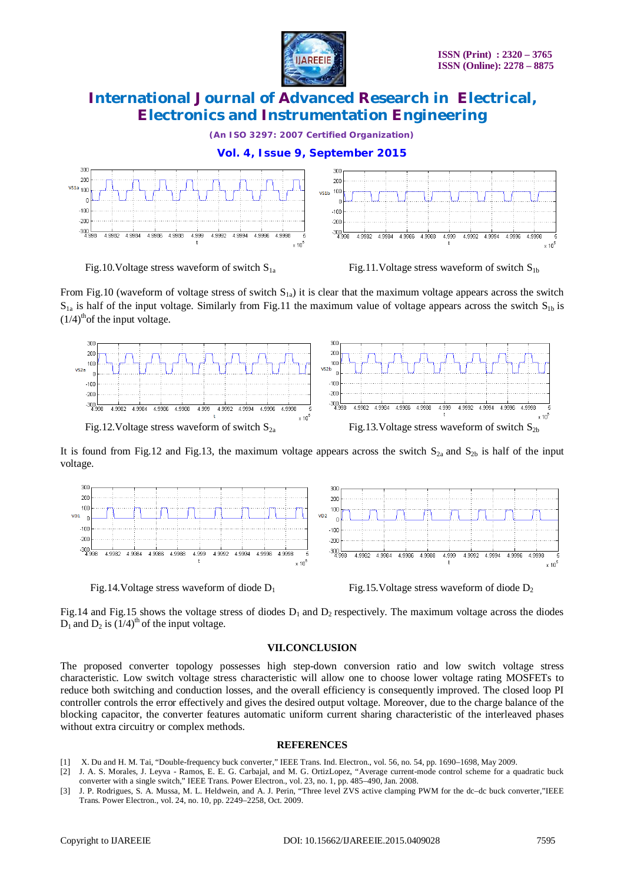

*(An ISO 3297: 2007 Certified Organization)*





From Fig.10 (waveform of voltage stress of switch  $S_{1a}$ ) it is clear that the maximum voltage appears across the switch  $S_{1a}$  is half of the input voltage. Similarly from Fig.11 the maximum value of voltage appears across the switch  $S_{1b}$  is  $(1/4)$ <sup>th</sup>of the input voltage.



It is found from Fig.12 and Fig.13, the maximum voltage appears across the switch  $S_{2a}$  and  $S_{2b}$  is half of the input voltage.



Fig.14.Voltage stress waveform of diode  $D_1$  Fig.15.Voltage stress waveform of diode  $D_2$ 

Fig.14 and Fig.15 shows the voltage stress of diodes  $D_1$  and  $D_2$  respectively. The maximum voltage across the diodes  $D_1$  and  $D_2$  is  $(1/4)$ <sup>th</sup> of the input voltage.

### **VII.CONCLUSION**

The proposed converter topology possesses high step-down conversion ratio and low switch voltage stress characteristic. Low switch voltage stress characteristic will allow one to choose lower voltage rating MOSFETs to reduce both switching and conduction losses, and the overall efficiency is consequently improved. The closed loop PI controller controls the error effectively and gives the desired output voltage. Moreover, due to the charge balance of the blocking capacitor, the converter features automatic uniform current sharing characteristic of the interleaved phases without extra circuitry or complex methods.

#### **REFERENCES**

- [1] X. Du and H. M. Tai, "Double-frequency buck converter," IEEE Trans. Ind. Electron., vol. 56, no. 54, pp. 1690–1698, May 2009.
- [2] J. A. S. Morales, J. Leyva Ramos, E. E. G. Carbajal, and M. G. OrtizLopez, "Average current-mode control scheme for a quadratic buck converter with a single switch," IEEE Trans. Power Electron., vol. 23, no. 1, pp. 485–490, Jan. 2008.
- [3] J. P. Rodrigues, S. A. Mussa, M. L. Heldwein, and A. J. Perin, "Three level ZVS active clamping PWM for the dc–dc buck converter,"IEEE Trans. Power Electron., vol. 24, no. 10, pp. 2249–2258, Oct. 2009.